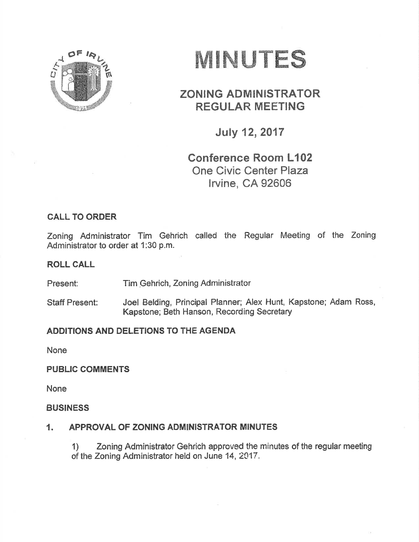

# MINUTES

## **ZONING ADMINISTRATOR REGULAR MEETING**

**July 12, 2017** 

## **Conference Room L102 One Civic Center Plaza** Irvine, CA 92606

### **CALL TO ORDER**

Zoning Administrator Tim Gehrich called the Regular Meeting of the Zoning Administrator to order at 1:30 p.m.

#### **ROLL CALL**

Tim Gehrich, Zoning Administrator Present:

Joel Belding, Principal Planner; Alex Hunt, Kapstone; Adam Ross, **Staff Present:** Kapstone; Beth Hanson, Recording Secretary

#### ADDITIONS AND DELETIONS TO THE AGENDA

**None** 

#### **PUBLIC COMMENTS**

**None** 

#### **BUSINESS**

#### $\mathbf{1}$ . APPROVAL OF ZONING ADMINISTRATOR MINUTES

Zoning Administrator Gehrich approved the minutes of the regular meeting  $\left( \frac{1}{2} \right)$ of the Zoning Administrator held on June 14, 2017.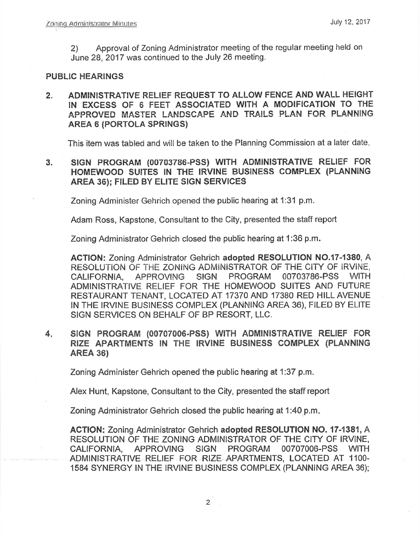Approval of Zoning Administrator meeting of the regular meeting held on  $(2)$ June 28, 2017 was continued to the July 26 meeting.

#### **PUBLIC HEARINGS**

ADMINISTRATIVE RELIEF REQUEST TO ALLOW FENCE AND WALL HEIGHT  $2.$ IN EXCESS OF 6 FEET ASSOCIATED WITH A MODIFICATION TO THE APPROVED MASTER LANDSCAPE AND TRAILS PLAN FOR PLANNING **AREA 6 (PORTOLA SPRINGS)** 

This item was tabled and will be taken to the Planning Commission at a later date.

SIGN PROGRAM (00703786-PSS) WITH ADMINISTRATIVE RELIEF FOR  $3.$ HOMEWOOD SUITES IN THE IRVINE BUSINESS COMPLEX (PLANNING AREA 36): FILED BY ELITE SIGN SERVICES

Zoning Administer Gehrich opened the public hearing at 1:31 p.m.

Adam Ross, Kapstone, Consultant to the City, presented the staff report

Zoning Administrator Gehrich closed the public hearing at 1:36 p.m.

ACTION: Zoning Administrator Gehrich adopted RESOLUTION NO.17-1380, A RESOLUTION OF THE ZONING ADMINISTRATOR OF THE CITY OF IRVINE. **PROGRAM** 00703786-PSS CALIFORNIA, **APPROVING SIGN WITH** ADMINISTRATIVE RELIEF FOR THE HOMEWOOD SUITES AND FUTURE RESTAURANT TENANT, LOCATED AT 17370 AND 17380 RED HILL AVENUE IN THE IRVINE BUSINESS COMPLEX (PLANNING AREA 36), FILED BY ELITE SIGN SERVICES ON BEHALF OF BP RESORT, LLC.

 $4.$ SIGN PROGRAM (00707006-PSS) WITH ADMINISTRATIVE RELIEF FOR RIZE APARTMENTS IN THE IRVINE BUSINESS COMPLEX (PLANNING **AREA 36)** 

Zoning Administer Gehrich opened the public hearing at 1:37 p.m.

Alex Hunt, Kapstone, Consultant to the City, presented the staff report

Zoning Administrator Gehrich closed the public hearing at 1:40 p.m.

**ACTION: Zoning Administrator Gehrich adopted RESOLUTION NO. 17-1381, A** RESOLUTION OF THE ZONING ADMINISTRATOR OF THE CITY OF IRVINE, CALIFORNIA, **APPROVING SIGN PROGRAM** 00707006-PSS **WITH** ADMINISTRATIVE RELIEF FOR RIZE APARTMENTS, LOCATED AT 1100-1584 SYNERGY IN THE IRVINE BUSINESS COMPLEX (PLANNING AREA 36);